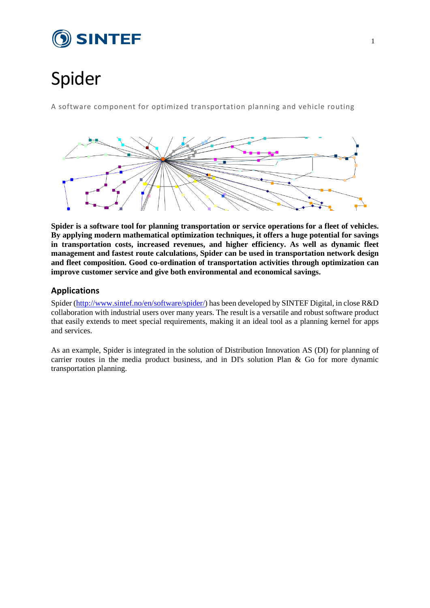

# Spider

A software component for optimized transportation planning and vehicle routing



**Spider is a software tool for planning transportation or service operations for a fleet of vehicles. By applying modern mathematical optimization techniques, it offers a huge potential for savings in transportation costs, increased revenues, and higher efficiency. As well as dynamic fleet management and fastest route calculations, Spider can be used in transportation network design and fleet composition. Good co-ordination of transportation activities through optimization can improve customer service and give both environmental and economical savings.**

# **Applications**

Spider [\(http://www.sintef.no/en/software/spider/\)](http://www.sintef.no/en/software/spider/) has been developed by SINTEF Digital, in close R&D collaboration with industrial users over many years. The result is a versatile and robust software product that easily extends to meet special requirements, making it an ideal tool as a planning kernel for apps and services.

As an example, Spider is integrated in the solution of Distribution Innovation AS (DI) for planning of carrier routes in the media product business, and in DI's solution Plan & Go for more dynamic transportation planning.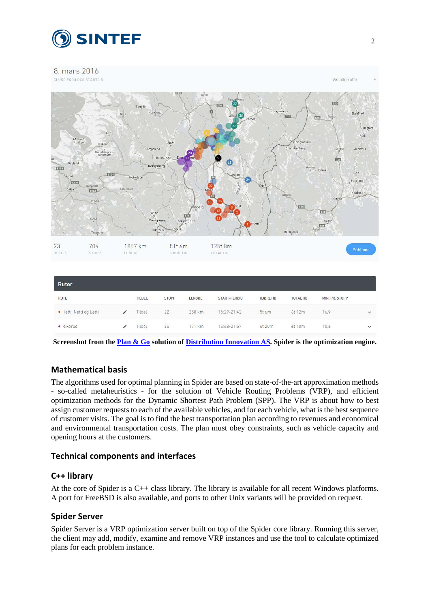

#### 8. mars 2016



| <b>RUTE</b>             | <b>TILDELT</b> | <b>STOPP</b> | LENGDE | START-FERDIG | <b>KJØRETID</b> | <b>TOTALTID</b> | MIN. PR. STOPP |              |
|-------------------------|----------------|--------------|--------|--------------|-----------------|-----------------|----------------|--------------|
| · Hetti, Netti og Letti | Tildel         | 22           | 258 km | 15:29-21:42  | 5t6m            | 6t 12m          | 16.9           | $\check{~}$  |
| · Rikerud               | Tildel         | 35           | 171 km | 15:48-21:57  | 4t 20m          | 6t 10m          | 10.6           | $\checkmark$ |

**Screenshot from the [Plan & Go](https://www.di.no/planandgo/) solution of [Distribution Innovation AS.](https://www.di.no/) Spider is the optimization engine.**

# **Mathematical basis**

The algorithms used for optimal planning in Spider are based on state-of-the-art approximation methods - so-called metaheuristics - for the solution of Vehicle Routing Problems (VRP), and efficient optimization methods for the Dynamic Shortest Path Problem (SPP). The VRP is about how to best assign customer requests to each of the available vehicles, and for each vehicle, what is the best sequence of customer visits. The goal is to find the best transportation plan according to revenues and economical and environmental transportation costs. The plan must obey constraints, such as vehicle capacity and opening hours at the customers.

# **Technical components and interfaces**

# **C++ library**

At the core of Spider is a C++ class library. The library is available for all recent Windows platforms. A port for FreeBSD is also available, and ports to other Unix variants will be provided on request.

# **Spider Server**

Spider Server is a VRP optimization server built on top of the Spider core library. Running this server, the client may add, modify, examine and remove VRP instances and use the tool to calculate optimized plans for each problem instance.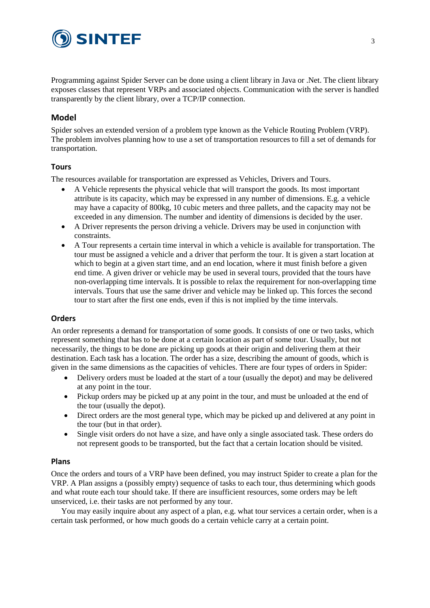

Programming against Spider Server can be done using a client library in Java or .Net. The client library exposes classes that represent VRPs and associated objects. Communication with the server is handled transparently by the client library, over a TCP/IP connection.

## **Model**

Spider solves an extended version of a problem type known as the Vehicle Routing Problem (VRP). The problem involves planning how to use a set of transportation resources to fill a set of demands for transportation.

#### **Tours**

The resources available for transportation are expressed as Vehicles, Drivers and Tours.

- A Vehicle represents the physical vehicle that will transport the goods. Its most important attribute is its capacity, which may be expressed in any number of dimensions. E.g. a vehicle may have a capacity of 800kg, 10 cubic meters and three pallets, and the capacity may not be exceeded in any dimension. The number and identity of dimensions is decided by the user.
- A Driver represents the person driving a vehicle. Drivers may be used in conjunction with constraints.
- A Tour represents a certain time interval in which a vehicle is available for transportation. The tour must be assigned a vehicle and a driver that perform the tour. It is given a start location at which to begin at a given start time, and an end location, where it must finish before a given end time. A given driver or vehicle may be used in several tours, provided that the tours have non-overlapping time intervals. It is possible to relax the requirement for non-overlapping time intervals. Tours that use the same driver and vehicle may be linked up. This forces the second tour to start after the first one ends, even if this is not implied by the time intervals.

#### **Orders**

An order represents a demand for transportation of some goods. It consists of one or two tasks, which represent something that has to be done at a certain location as part of some tour. Usually, but not necessarily, the things to be done are picking up goods at their origin and delivering them at their destination. Each task has a location. The order has a size, describing the amount of goods, which is given in the same dimensions as the capacities of vehicles. There are four types of orders in Spider:

- Delivery orders must be loaded at the start of a tour (usually the depot) and may be delivered at any point in the tour.
- Pickup orders may be picked up at any point in the tour, and must be unloaded at the end of the tour (usually the depot).
- Direct orders are the most general type, which may be picked up and delivered at any point in the tour (but in that order).
- Single visit orders do not have a size, and have only a single associated task. These orders do not represent goods to be transported, but the fact that a certain location should be visited.

#### **Plans**

Once the orders and tours of a VRP have been defined, you may instruct Spider to create a plan for the VRP. A Plan assigns a (possibly empty) sequence of tasks to each tour, thus determining which goods and what route each tour should take. If there are insufficient resources, some orders may be left unserviced, i.e. their tasks are not performed by any tour.

You may easily inquire about any aspect of a plan, e.g. what tour services a certain order, when is a certain task performed, or how much goods do a certain vehicle carry at a certain point.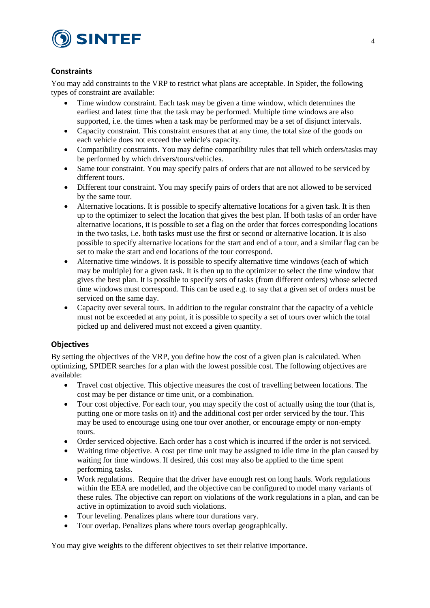

## **Constraints**

You may add constraints to the VRP to restrict what plans are acceptable. In Spider, the following types of constraint are available:

- Time window constraint. Each task may be given a time window, which determines the earliest and latest time that the task may be performed. Multiple time windows are also supported, i.e. the times when a task may be performed may be a set of disjunct intervals.
- Capacity constraint. This constraint ensures that at any time, the total size of the goods on each vehicle does not exceed the vehicle's capacity.
- Compatibility constraints. You may define compatibility rules that tell which orders/tasks may be performed by which drivers/tours/vehicles.
- Same tour constraint. You may specify pairs of orders that are not allowed to be serviced by different tours.
- Different tour constraint. You may specify pairs of orders that are not allowed to be serviced by the same tour.
- Alternative locations. It is possible to specify alternative locations for a given task. It is then up to the optimizer to select the location that gives the best plan. If both tasks of an order have alternative locations, it is possible to set a flag on the order that forces corresponding locations in the two tasks, i.e. both tasks must use the first or second or alternative location. It is also possible to specify alternative locations for the start and end of a tour, and a similar flag can be set to make the start and end locations of the tour correspond.
- Alternative time windows. It is possible to specify alternative time windows (each of which may be multiple) for a given task. It is then up to the optimizer to select the time window that gives the best plan. It is possible to specify sets of tasks (from different orders) whose selected time windows must correspond. This can be used e.g. to say that a given set of orders must be serviced on the same day.
- Capacity over several tours. In addition to the regular constraint that the capacity of a vehicle must not be exceeded at any point, it is possible to specify a set of tours over which the total picked up and delivered must not exceed a given quantity.

## **Objectives**

By setting the objectives of the VRP, you define how the cost of a given plan is calculated. When optimizing, SPIDER searches for a plan with the lowest possible cost. The following objectives are available:

- Travel cost objective. This objective measures the cost of travelling between locations. The cost may be per distance or time unit, or a combination.
- Tour cost objective. For each tour, you may specify the cost of actually using the tour (that is, putting one or more tasks on it) and the additional cost per order serviced by the tour. This may be used to encourage using one tour over another, or encourage empty or non-empty tours.
- Order serviced objective. Each order has a cost which is incurred if the order is not serviced.
- Waiting time objective. A cost per time unit may be assigned to idle time in the plan caused by waiting for time windows. If desired, this cost may also be applied to the time spent performing tasks.
- Work regulations. Require that the driver have enough rest on long hauls. Work regulations within the EEA are modelled, and the objective can be configured to model many variants of these rules. The objective can report on violations of the work regulations in a plan, and can be active in optimization to avoid such violations.
- Tour leveling. Penalizes plans where tour durations vary.
- Tour overlap. Penalizes plans where tours overlap geographically.

You may give weights to the different objectives to set their relative importance.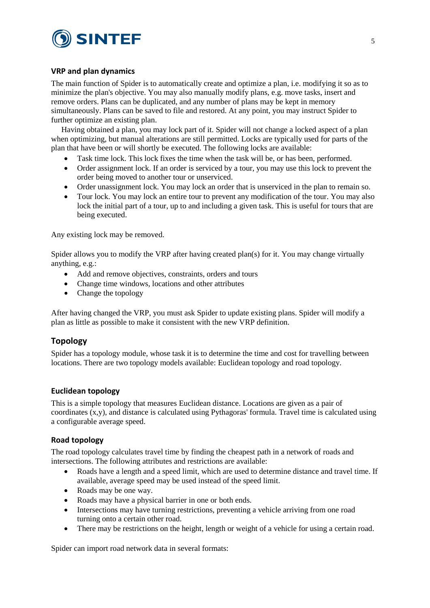

#### **VRP and plan dynamics**

The main function of Spider is to automatically create and optimize a plan, i.e. modifying it so as to minimize the plan's objective. You may also manually modify plans, e.g. move tasks, insert and remove orders. Plans can be duplicated, and any number of plans may be kept in memory simultaneously. Plans can be saved to file and restored. At any point, you may instruct Spider to further optimize an existing plan.

Having obtained a plan, you may lock part of it. Spider will not change a locked aspect of a plan when optimizing, but manual alterations are still permitted. Locks are typically used for parts of the plan that have been or will shortly be executed. The following locks are available:

- Task time lock. This lock fixes the time when the task will be, or has been, performed.
- Order assignment lock. If an order is serviced by a tour, you may use this lock to prevent the order being moved to another tour or unserviced.
- Order unassignment lock. You may lock an order that is unserviced in the plan to remain so.
- Tour lock. You may lock an entire tour to prevent any modification of the tour. You may also lock the initial part of a tour, up to and including a given task. This is useful for tours that are being executed.

Any existing lock may be removed.

Spider allows you to modify the VRP after having created plan(s) for it. You may change virtually anything, e.g.:

- Add and remove objectives, constraints, orders and tours
- Change time windows, locations and other attributes
- Change the topology

After having changed the VRP, you must ask Spider to update existing plans. Spider will modify a plan as little as possible to make it consistent with the new VRP definition.

## **Topology**

Spider has a topology module, whose task it is to determine the time and cost for travelling between locations. There are two topology models available: Euclidean topology and road topology.

#### **Euclidean topology**

This is a simple topology that measures Euclidean distance. Locations are given as a pair of coordinates  $(x,y)$ , and distance is calculated using Pythagoras' formula. Travel time is calculated using a configurable average speed.

#### **Road topology**

The road topology calculates travel time by finding the cheapest path in a network of roads and intersections. The following attributes and restrictions are available:

- Roads have a length and a speed limit, which are used to determine distance and travel time. If available, average speed may be used instead of the speed limit.
- Roads may be one way.
- Roads may have a physical barrier in one or both ends.
- Intersections may have turning restrictions, preventing a vehicle arriving from one road turning onto a certain other road.
- There may be restrictions on the height, length or weight of a vehicle for using a certain road.

Spider can import road network data in several formats: